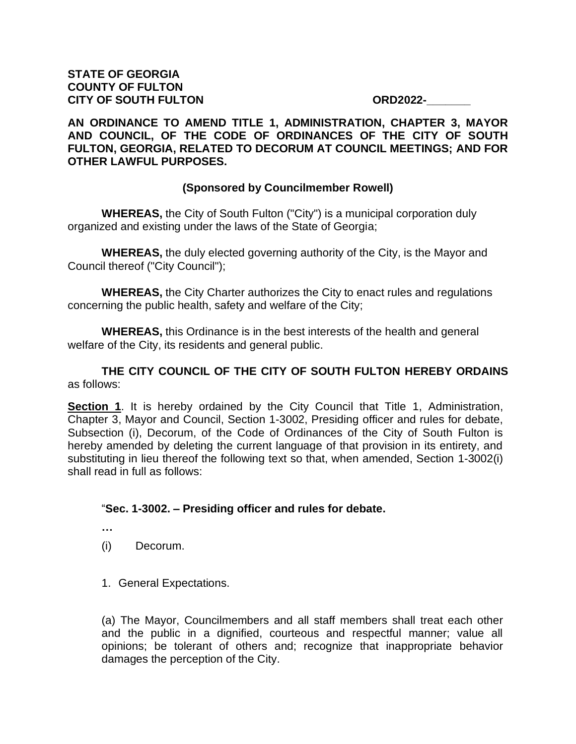#### **AN ORDINANCE TO AMEND TITLE 1, ADMINISTRATION, CHAPTER 3, MAYOR AND COUNCIL, OF THE CODE OF ORDINANCES OF THE CITY OF SOUTH FULTON, GEORGIA, RELATED TO DECORUM AT COUNCIL MEETINGS; AND FOR OTHER LAWFUL PURPOSES.**

## **(Sponsored by Councilmember Rowell)**

**WHEREAS,** the City of South Fulton ("City") is a municipal corporation duly organized and existing under the laws of the State of Georgia;

**WHEREAS,** the duly elected governing authority of the City, is the Mayor and Council thereof ("City Council");

**WHEREAS,** the City Charter authorizes the City to enact rules and regulations concerning the public health, safety and welfare of the City;

**WHEREAS,** this Ordinance is in the best interests of the health and general welfare of the City, its residents and general public.

## **THE CITY COUNCIL OF THE CITY OF SOUTH FULTON HEREBY ORDAINS** as follows:

**Section 1**. It is hereby ordained by the City Council that Title 1, Administration, Chapter 3, Mayor and Council, Section 1-3002, Presiding officer and rules for debate, Subsection (i), Decorum, of the Code of Ordinances of the City of South Fulton is hereby amended by deleting the current language of that provision in its entirety, and substituting in lieu thereof the following text so that, when amended, Section 1-3002(i) shall read in full as follows:

#### "**Sec. 1-3002. – Presiding officer and rules for debate.**

- **…**
- (i) Decorum.
- 1. General Expectations.

(a) The Mayor, Councilmembers and all staff members shall treat each other and the public in a dignified, courteous and respectful manner; value all opinions; be tolerant of others and; recognize that inappropriate behavior damages the perception of the City.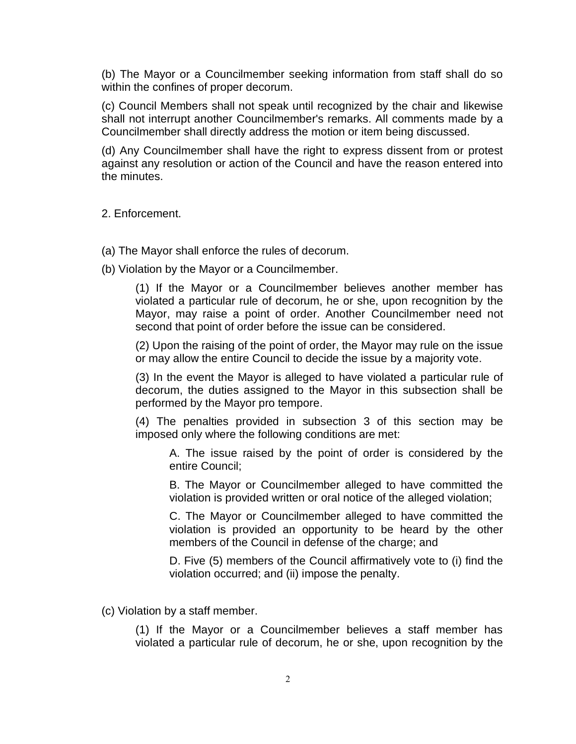(b) The Mayor or a Councilmember seeking information from staff shall do so within the confines of proper decorum.

(c) Council Members shall not speak until recognized by the chair and likewise shall not interrupt another Councilmember's remarks. All comments made by a Councilmember shall directly address the motion or item being discussed.

(d) Any Councilmember shall have the right to express dissent from or protest against any resolution or action of the Council and have the reason entered into the minutes.

2. Enforcement.

(a) The Mayor shall enforce the rules of decorum.

(b) Violation by the Mayor or a Councilmember.

(1) If the Mayor or a Councilmember believes another member has violated a particular rule of decorum, he or she, upon recognition by the Mayor, may raise a point of order. Another Councilmember need not second that point of order before the issue can be considered.

(2) Upon the raising of the point of order, the Mayor may rule on the issue or may allow the entire Council to decide the issue by a majority vote.

(3) In the event the Mayor is alleged to have violated a particular rule of decorum, the duties assigned to the Mayor in this subsection shall be performed by the Mayor pro tempore.

(4) The penalties provided in subsection 3 of this section may be imposed only where the following conditions are met:

A. The issue raised by the point of order is considered by the entire Council;

B. The Mayor or Councilmember alleged to have committed the violation is provided written or oral notice of the alleged violation;

C. The Mayor or Councilmember alleged to have committed the violation is provided an opportunity to be heard by the other members of the Council in defense of the charge; and

D. Five (5) members of the Council affirmatively vote to (i) find the violation occurred; and (ii) impose the penalty.

(c) Violation by a staff member.

(1) If the Mayor or a Councilmember believes a staff member has violated a particular rule of decorum, he or she, upon recognition by the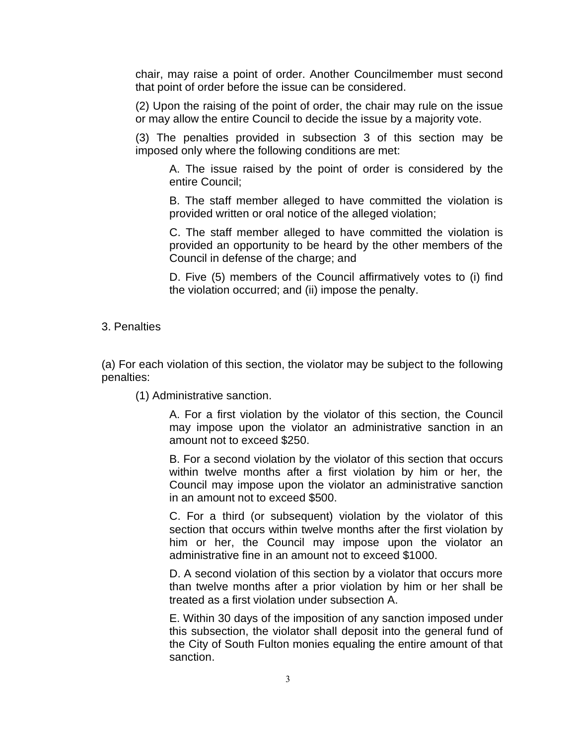chair, may raise a point of order. Another Councilmember must second that point of order before the issue can be considered.

(2) Upon the raising of the point of order, the chair may rule on the issue or may allow the entire Council to decide the issue by a majority vote.

(3) The penalties provided in subsection 3 of this section may be imposed only where the following conditions are met:

A. The issue raised by the point of order is considered by the entire Council;

B. The staff member alleged to have committed the violation is provided written or oral notice of the alleged violation;

C. The staff member alleged to have committed the violation is provided an opportunity to be heard by the other members of the Council in defense of the charge; and

D. Five (5) members of the Council affirmatively votes to (i) find the violation occurred; and (ii) impose the penalty.

3. Penalties

(a) For each violation of this section, the violator may be subject to the following penalties:

(1) Administrative sanction.

A. For a first violation by the violator of this section, the Council may impose upon the violator an administrative sanction in an amount not to exceed \$250.

B. For a second violation by the violator of this section that occurs within twelve months after a first violation by him or her, the Council may impose upon the violator an administrative sanction in an amount not to exceed \$500.

C. For a third (or subsequent) violation by the violator of this section that occurs within twelve months after the first violation by him or her, the Council may impose upon the violator an administrative fine in an amount not to exceed \$1000.

D. A second violation of this section by a violator that occurs more than twelve months after a prior violation by him or her shall be treated as a first violation under subsection A.

E. Within 30 days of the imposition of any sanction imposed under this subsection, the violator shall deposit into the general fund of the City of South Fulton monies equaling the entire amount of that sanction.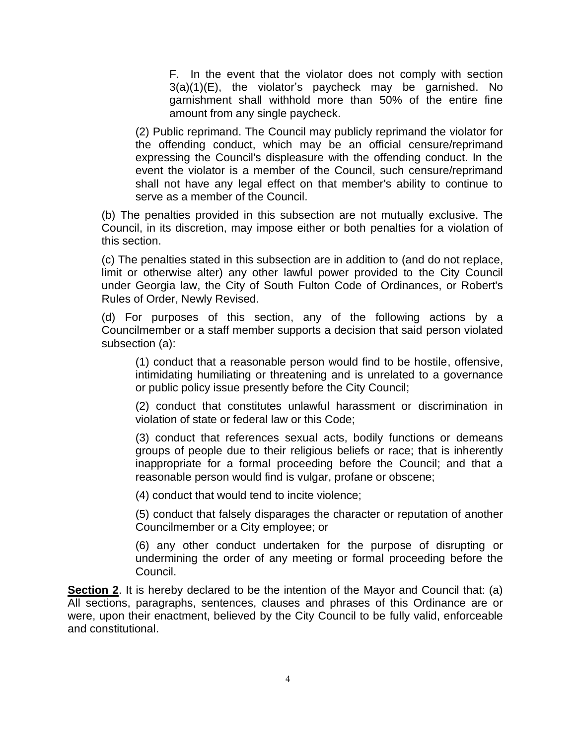F. In the event that the violator does not comply with section  $3(a)(1)(E)$ , the violator's paycheck may be garnished. No garnishment shall withhold more than 50% of the entire fine amount from any single paycheck.

(2) Public reprimand. The Council may publicly reprimand the violator for the offending conduct, which may be an official censure/reprimand expressing the Council's displeasure with the offending conduct. In the event the violator is a member of the Council, such censure/reprimand shall not have any legal effect on that member's ability to continue to serve as a member of the Council.

(b) The penalties provided in this subsection are not mutually exclusive. The Council, in its discretion, may impose either or both penalties for a violation of this section.

(c) The penalties stated in this subsection are in addition to (and do not replace, limit or otherwise alter) any other lawful power provided to the City Council under Georgia law, the City of South Fulton Code of Ordinances, or Robert's Rules of Order, Newly Revised.

(d) For purposes of this section, any of the following actions by a Councilmember or a staff member supports a decision that said person violated subsection (a):

(1) conduct that a reasonable person would find to be hostile, offensive, intimidating humiliating or threatening and is unrelated to a governance or public policy issue presently before the City Council;

(2) conduct that constitutes unlawful harassment or discrimination in violation of state or federal law or this Code;

(3) conduct that references sexual acts, bodily functions or demeans groups of people due to their religious beliefs or race; that is inherently inappropriate for a formal proceeding before the Council; and that a reasonable person would find is vulgar, profane or obscene;

(4) conduct that would tend to incite violence;

(5) conduct that falsely disparages the character or reputation of another Councilmember or a City employee; or

(6) any other conduct undertaken for the purpose of disrupting or undermining the order of any meeting or formal proceeding before the Council.

**Section 2**. It is hereby declared to be the intention of the Mayor and Council that: (a) All sections, paragraphs, sentences, clauses and phrases of this Ordinance are or were, upon their enactment, believed by the City Council to be fully valid, enforceable and constitutional.